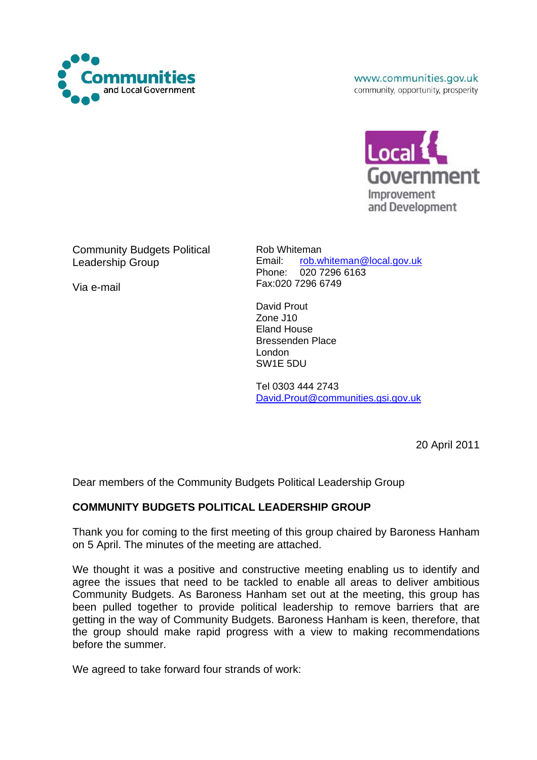

www.communities.gov.uk community, opportunity, prosperity



Community Budgets Political Leadership Group

Via e-mail

Rob Whiteman Email: [rob.whiteman@local.gov.uk](mailto:Rob.Whiteman@local.gov.uk) Phone: 020 7296 6163 Fax:020 7296 6749

David Prout Zone J10 Eland House Bressenden Place London SW1E 5DU

Tel 0303 444 2743 [David.Prout@communities.gsi.gov.uk](mailto:David.Prout@communities.gsi.gov.uk)

20 April 2011

Dear members of the Community Budgets Political Leadership Group

# **COMMUNITY BUDGETS POLITICAL LEADERSHIP GROUP**

Thank you for coming to the first meeting of this group chaired by Baroness Hanham on 5 April. The minutes of the meeting are attached.

We thought it was a positive and constructive meeting enabling us to identify and agree the issues that need to be tackled to enable all areas to deliver ambitious Community Budgets. As Baroness Hanham set out at the meeting, this group has been pulled together to provide political leadership to remove barriers that are getting in the way of Community Budgets. Baroness Hanham is keen, therefore, that the group should make rapid progress with a view to making recommendations before the summer.

We agreed to take forward four strands of work: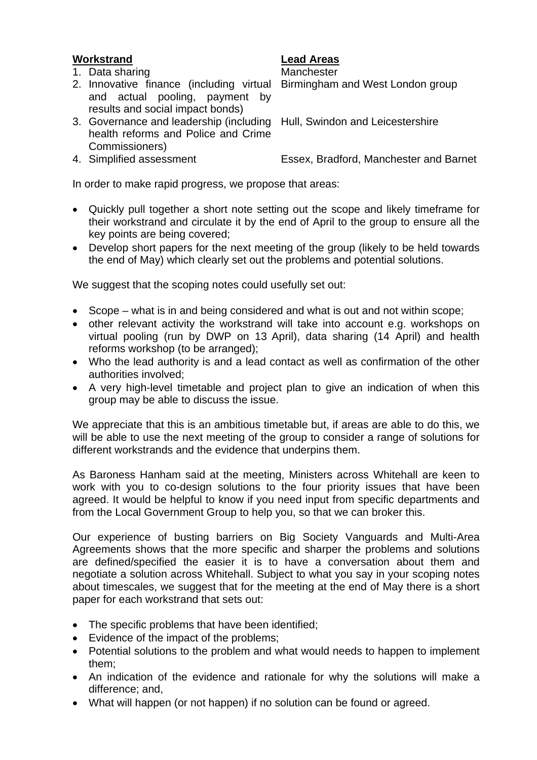# **Workstrand Lead Areas**

1. Data sharing Manchester

### 2. Innovative finance (including virtual Birmingham and West London group and actual pooling, payment by results and social impact bonds)

## 3. Governance and leadership (including Hull, Swindon and Leicestershire health reforms and Police and Crime Commissioners)

4. Simplified assessment Essex, Bradford, Manchester and Barnet

In order to make rapid progress, we propose that areas:

- Quickly pull together a short note setting out the scope and likely timeframe for their workstrand and circulate it by the end of April to the group to ensure all the key points are being covered;
- Develop short papers for the next meeting of the group (likely to be held towards the end of May) which clearly set out the problems and potential solutions.

We suggest that the scoping notes could usefully set out:

- Scope what is in and being considered and what is out and not within scope;
- other relevant activity the workstrand will take into account e.g. workshops on virtual pooling (run by DWP on 13 April), data sharing (14 April) and health reforms workshop (to be arranged);
- Who the lead authority is and a lead contact as well as confirmation of the other authorities involved;
- A very high-level timetable and project plan to give an indication of when this group may be able to discuss the issue.

We appreciate that this is an ambitious timetable but, if areas are able to do this, we will be able to use the next meeting of the group to consider a range of solutions for different workstrands and the evidence that underpins them.

As Baroness Hanham said at the meeting, Ministers across Whitehall are keen to work with you to co-design solutions to the four priority issues that have been agreed. It would be helpful to know if you need input from specific departments and from the Local Government Group to help you, so that we can broker this.

Our experience of busting barriers on Big Society Vanguards and Multi-Area Agreements shows that the more specific and sharper the problems and solutions are defined/specified the easier it is to have a conversation about them and negotiate a solution across Whitehall. Subject to what you say in your scoping notes about timescales, we suggest that for the meeting at the end of May there is a short paper for each workstrand that sets out:

- The specific problems that have been identified;
- Evidence of the impact of the problems;
- Potential solutions to the problem and what would needs to happen to implement them;
- An indication of the evidence and rationale for why the solutions will make a difference; and,
- What will happen (or not happen) if no solution can be found or agreed.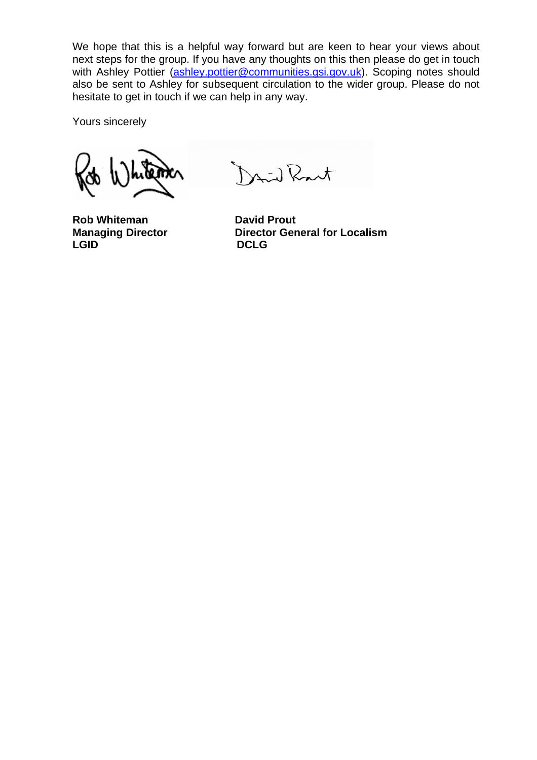We hope that this is a helpful way forward but are keen to hear your views about next steps for the group. If you have any thoughts on this then please do get in touch with Ashley Pottier [\(ashley.pottier@communities.gsi.gov.uk](mailto:ashley.pottier@communities.gsi.gov.uk)). Scoping notes should also be sent to Ashley for subsequent circulation to the wider group. Please do not hesitate to get in touch if we can help in any way.

Yours sincerely

**Rob Whiteman David Prout** LGID DCLG

Mid Rant

**Managing Director Director General for Localism**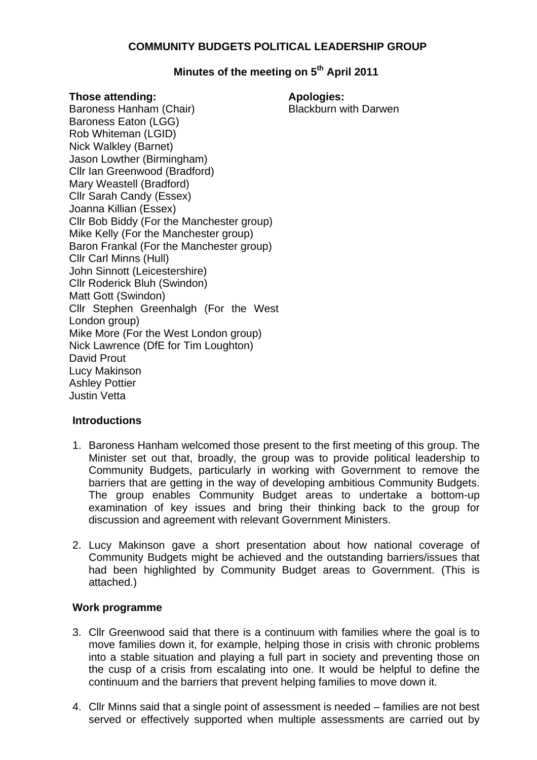### **COMMUNITY BUDGETS POLITICAL LEADERSHIP GROUP**

# **Minutes of the meeting on 5th April 2011**

### **Those attending: Apologies: Apologies:**

Blackburn with Darwen

Baroness Hanham (Chair) Baroness Eaton (LGG) Rob Whiteman (LGID) Nick Walkley (Barnet) Jason Lowther (Birmingham) Cllr Ian Greenwood (Bradford) Mary Weastell (Bradford) Cllr Sarah Candy (Essex) Joanna Killian (Essex) Cllr Bob Biddy (For the Manchester group) Mike Kelly (For the Manchester group) Baron Frankal (For the Manchester group) Cllr Carl Minns (Hull) John Sinnott (Leicestershire) Cllr Roderick Bluh (Swindon) Matt Gott (Swindon) Cllr Stephen Greenhalgh (For the West London group) Mike More (For the West London group) Nick Lawrence (DfE for Tim Loughton) David Prout Lucy Makinson Ashley Pottier Justin Vetta

### **Introductions**

- 1. Baroness Hanham welcomed those present to the first meeting of this group. The Minister set out that, broadly, the group was to provide political leadership to Community Budgets, particularly in working with Government to remove the barriers that are getting in the way of developing ambitious Community Budgets. The group enables Community Budget areas to undertake a bottom-up examination of key issues and bring their thinking back to the group for discussion and agreement with relevant Government Ministers.
- 2. Lucy Makinson gave a short presentation about how national coverage of Community Budgets might be achieved and the outstanding barriers/issues that had been highlighted by Community Budget areas to Government. (This is attached.)

### **Work programme**

- 3. Cllr Greenwood said that there is a continuum with families where the goal is to move families down it, for example, helping those in crisis with chronic problems into a stable situation and playing a full part in society and preventing those on the cusp of a crisis from escalating into one. It would be helpful to define the continuum and the barriers that prevent helping families to move down it.
- 4. Cllr Minns said that a single point of assessment is needed families are not best served or effectively supported when multiple assessments are carried out by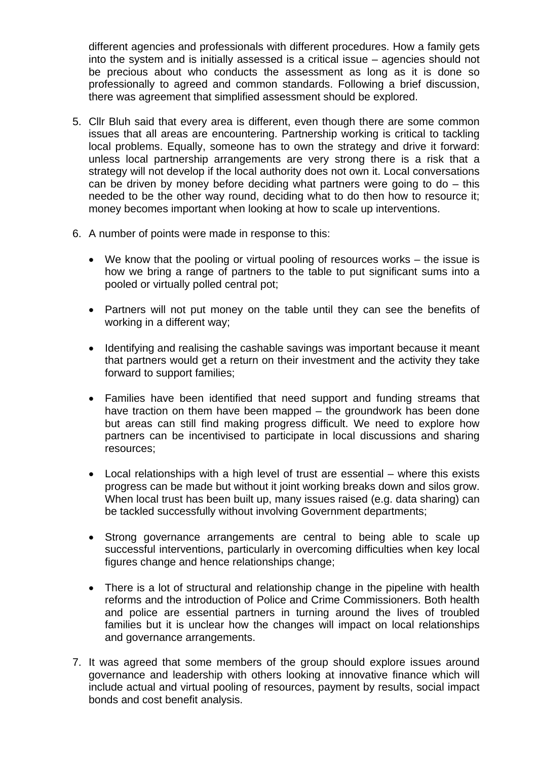different agencies and professionals with different procedures. How a family gets into the system and is initially assessed is a critical issue – agencies should not be precious about who conducts the assessment as long as it is done so professionally to agreed and common standards. Following a brief discussion, there was agreement that simplified assessment should be explored.

- 5. Cllr Bluh said that every area is different, even though there are some common issues that all areas are encountering. Partnership working is critical to tackling local problems. Equally, someone has to own the strategy and drive it forward: unless local partnership arrangements are very strong there is a risk that a strategy will not develop if the local authority does not own it. Local conversations can be driven by money before deciding what partners were going to do – this needed to be the other way round, deciding what to do then how to resource it; money becomes important when looking at how to scale up interventions.
- 6. A number of points were made in response to this:
	- We know that the pooling or virtual pooling of resources works the issue is how we bring a range of partners to the table to put significant sums into a pooled or virtually polled central pot;
	- Partners will not put money on the table until they can see the benefits of working in a different way;
	- Identifying and realising the cashable savings was important because it meant that partners would get a return on their investment and the activity they take forward to support families;
	- Families have been identified that need support and funding streams that have traction on them have been mapped – the groundwork has been done but areas can still find making progress difficult. We need to explore how partners can be incentivised to participate in local discussions and sharing resources;
	- Local relationships with a high level of trust are essential where this exists progress can be made but without it joint working breaks down and silos grow. When local trust has been built up, many issues raised (e.g. data sharing) can be tackled successfully without involving Government departments;
	- Strong governance arrangements are central to being able to scale up successful interventions, particularly in overcoming difficulties when key local figures change and hence relationships change;
	- There is a lot of structural and relationship change in the pipeline with health reforms and the introduction of Police and Crime Commissioners. Both health and police are essential partners in turning around the lives of troubled families but it is unclear how the changes will impact on local relationships and governance arrangements.
- 7. It was agreed that some members of the group should explore issues around governance and leadership with others looking at innovative finance which will include actual and virtual pooling of resources, payment by results, social impact bonds and cost benefit analysis.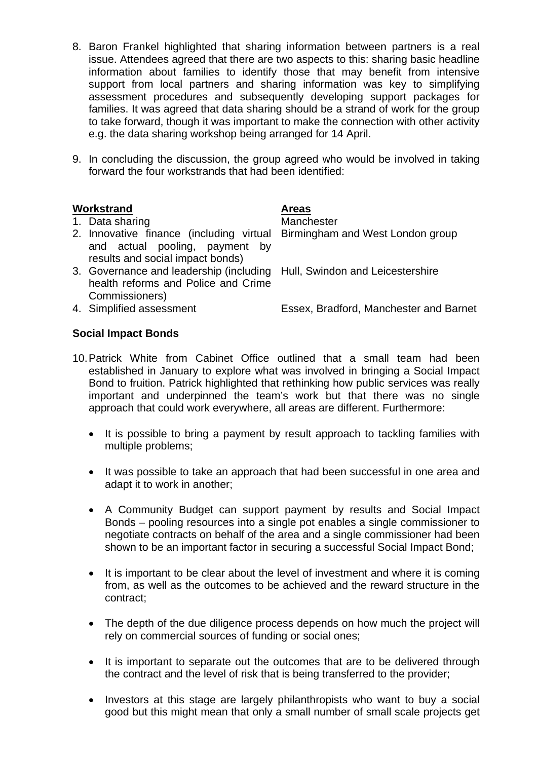- 8. Baron Frankel highlighted that sharing information between partners is a real issue. Attendees agreed that there are two aspects to this: sharing basic headline information about families to identify those that may benefit from intensive support from local partners and sharing information was key to simplifying assessment procedures and subsequently developing support packages for families. It was agreed that data sharing should be a strand of work for the group to take forward, though it was important to make the connection with other activity e.g. the data sharing workshop being arranged for 14 April.
- 9. In concluding the discussion, the group agreed who would be involved in taking forward the four workstrands that had been identified:

### Workstrand **Areas**

### 1. Data sharing Manchester

- 2. Innovative finance (including virtual Birmingham and West London group and actual pooling, payment by results and social impact bonds)
- 3. Governance and leadership (including Hull, Swindon and Leicestershire health reforms and Police and Crime Commissioners)
- 

4. Simplified assessment Essex, Bradford, Manchester and Barnet

# **Social Impact Bonds**

- 10. Patrick White from Cabinet Office outlined that a small team had been established in January to explore what was involved in bringing a Social Impact Bond to fruition. Patrick highlighted that rethinking how public services was really important and underpinned the team's work but that there was no single approach that could work everywhere, all areas are different. Furthermore:
	- It is possible to bring a payment by result approach to tackling families with multiple problems;
	- It was possible to take an approach that had been successful in one area and adapt it to work in another;
	- A Community Budget can support payment by results and Social Impact Bonds – pooling resources into a single pot enables a single commissioner to negotiate contracts on behalf of the area and a single commissioner had been shown to be an important factor in securing a successful Social Impact Bond;
	- It is important to be clear about the level of investment and where it is coming from, as well as the outcomes to be achieved and the reward structure in the contract;
	- The depth of the due diligence process depends on how much the project will rely on commercial sources of funding or social ones;
	- It is important to separate out the outcomes that are to be delivered through the contract and the level of risk that is being transferred to the provider;
	- Investors at this stage are largely philanthropists who want to buy a social good but this might mean that only a small number of small scale projects get